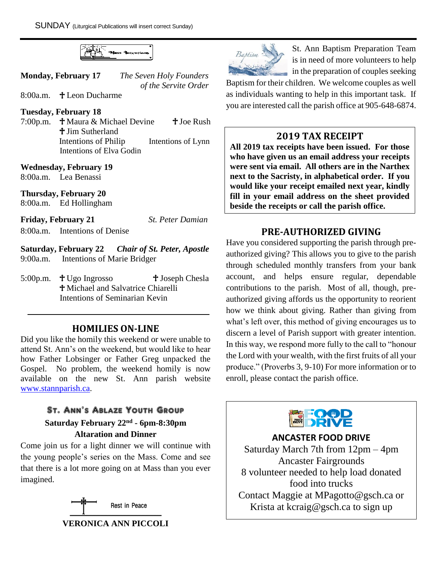

| <b>Monday, February 17</b> |                         | The Seven Holy Founders |
|----------------------------|-------------------------|-------------------------|
|                            |                         | of the Servite Order    |
| 8:00a.m.                   | $\dagger$ Leon Ducharme |                         |

#### **Tuesday, February 18**

7:00p.m.  $\dagger$  Maura & Michael Devine  $\dagger$  Joe Rush **+ Jim Sutherland**  Intentions of Philip Intentions of Lynn Intentions of Elva Godin

#### **Wednesday, February 19**

8:00a.m. Lea Benassi

**Thursday, February 20** 

8:00a.m. Ed Hollingham

**Friday, February 21** *St. Peter Damian*

8:00a.m. Intentions of Denise

**Saturday, February 22** *Chair of St. Peter, Apostle* 9:00a.m. Intentions of Marie Bridger

5:00p.m.  $\text{\textsterling}$  Ugo Ingrosso  $\text{\textsterling}$  Joseph Chesla Michael and Salvatrice Chiarelli Intentions of Seminarian Kevin

## **HOMILIES ON-LINE**

Did you like the homily this weekend or were unable to attend St. Ann's on the weekend, but would like to hear how Father Lobsinger or Father Greg unpacked the Gospel. No problem, the weekend homily is now available on the new St. Ann parish website [www.stannparish.ca.](http://www.stannparish.ca/)

# St. Ann's Ablaze Youth Group

## **Saturday February 22nd - 6pm-8:30pm Altaration and Dinner**

Come join us for a light dinner we will continue with the young people's series on the Mass. Come and see that there is a lot more going on at Mass than you ever imagined.





St. Ann Baptism Preparation Team is in need of more volunteers to help in the preparation of couples seeking

Baptism for their children. We welcome couples as well as individuals wanting to help in this important task. If you are interested call the parish office at 905-648-6874.

# **2019 TAX RECEIPT**

**All 2019 tax receipts have been issued. For those who have given us an email address your receipts were sent via email. All others are in the Narthex next to the Sacristy, in alphabetical order. If you would like your receipt emailed next year, kindly fill in your email address on the sheet provided beside the receipts or call the parish office.**

# **PRE-AUTHORIZED GIVING**

Have you considered supporting the parish through preauthorized giving? This allows you to give to the parish through scheduled monthly transfers from your bank account, and helps ensure regular, dependable contributions to the parish. Most of all, though, preauthorized giving affords us the opportunity to reorient how we think about giving. Rather than giving from what's left over, this method of giving encourages us to discern a level of Parish support with greater intention. In this way, we respond more fully to the call to "honour the Lord with your wealth, with the first fruits of all your produce." (Proverbs 3, 9-10) For more information or to enroll, please contact the parish office.



**ANCASTER FOOD DRIVE**

Saturday March 7th from 12pm – 4pm Ancaster Fairgrounds 8 volunteer needed to help load donated food into trucks Contact Maggie at MPagotto@gsch.ca or Krista at kcraig@gsch.ca to sign up